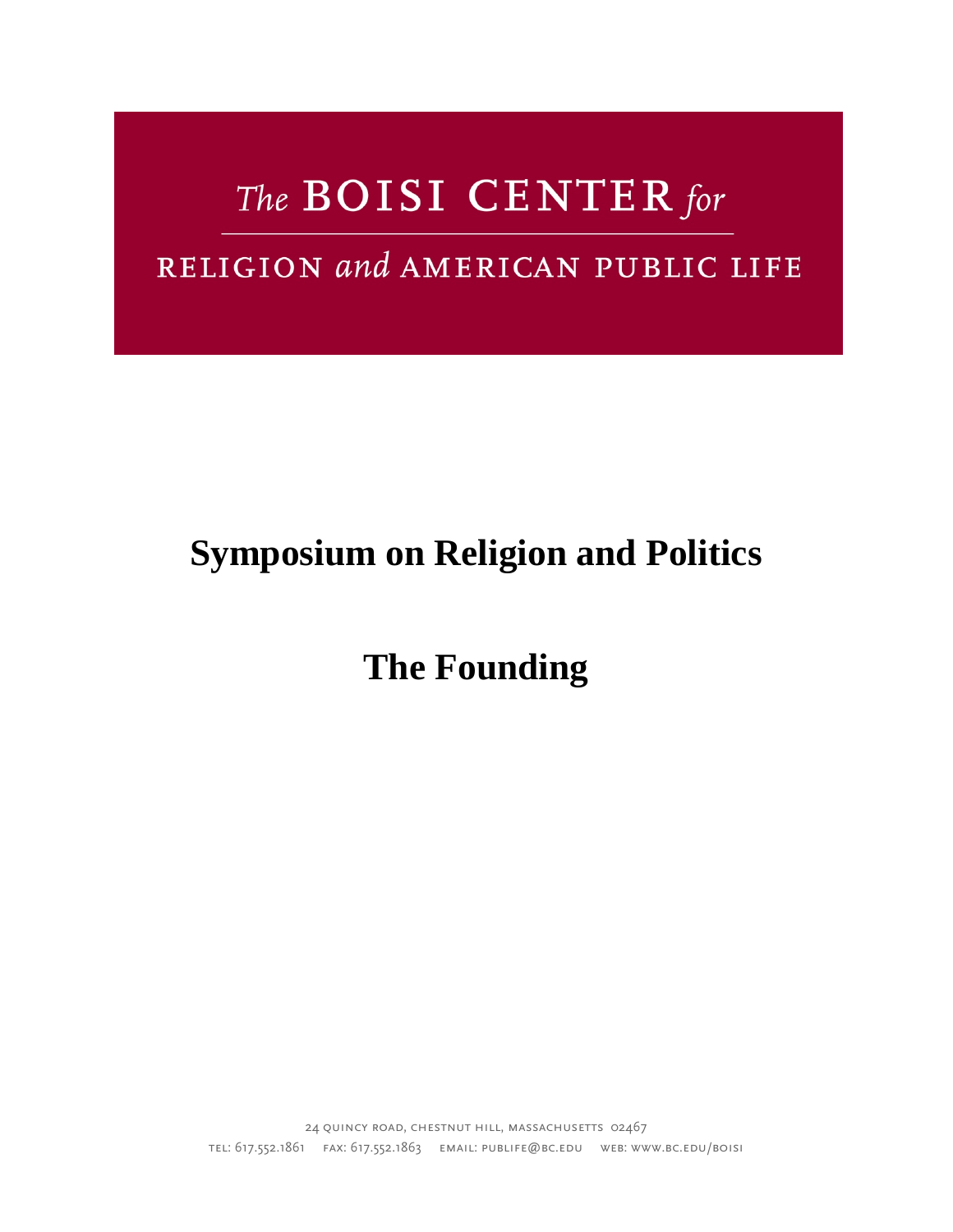# The BOISI CENTER for

# RELIGION and AMERICAN PUBLIC LIFE

# **Symposium on Religion and Politics**

**The Founding**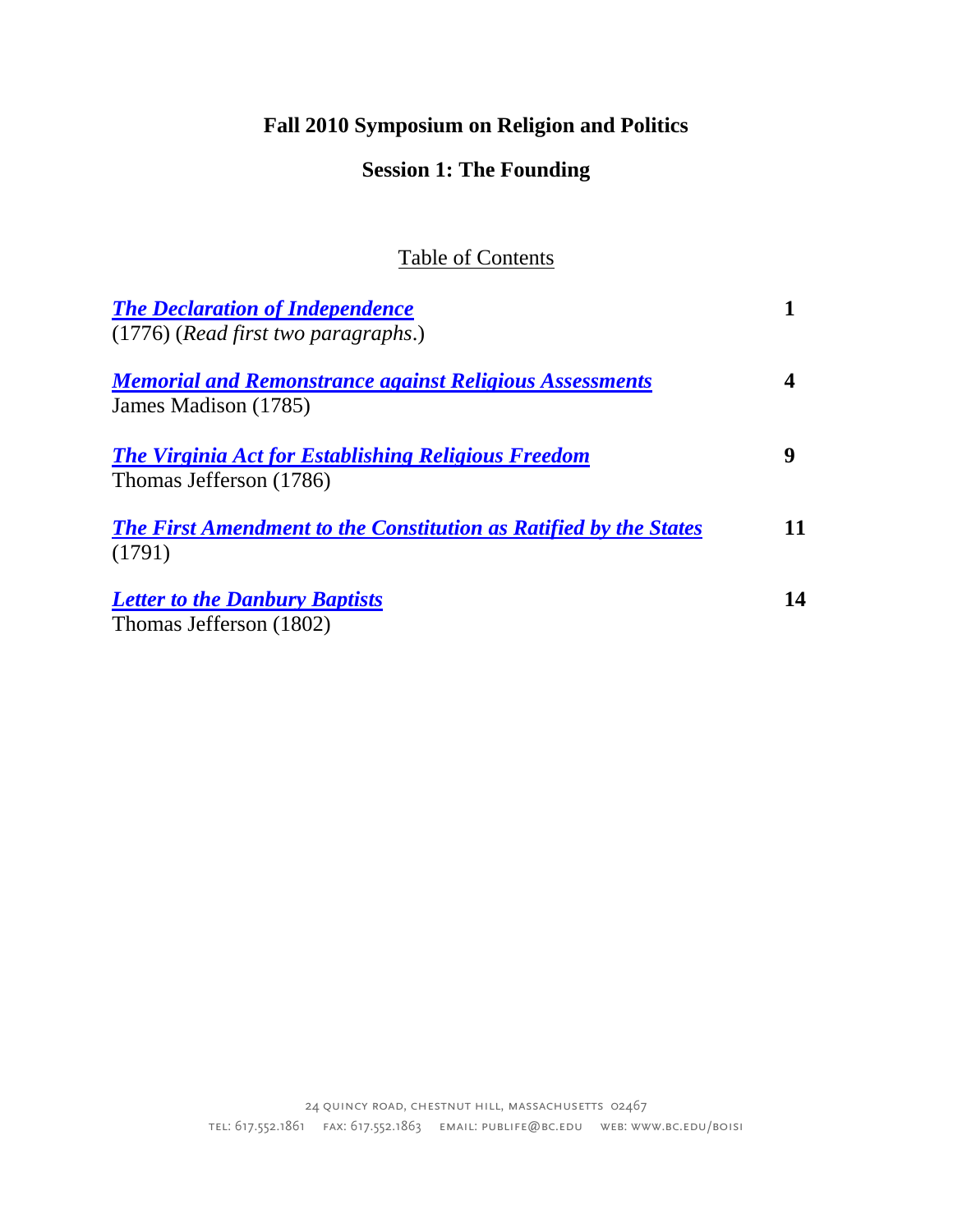## **Fall 2010 Symposium on Religion and Politics**

### **Session 1: The Founding**

## Table of Contents

| <b>The Declaration of Independence</b><br>$(1776)$ (Read first two paragraphs.)        |    |
|----------------------------------------------------------------------------------------|----|
| <b>Memorial and Remonstrance against Religious Assessments</b><br>James Madison (1785) |    |
| <b>The Virginia Act for Establishing Religious Freedom</b><br>Thomas Jefferson (1786)  | 9  |
| <b>The First Amendment to the Constitution as Ratified by the States</b><br>(1791)     | 11 |
| <b>Letter to the Danbury Baptists</b><br>Thomas Jefferson (1802)                       | 14 |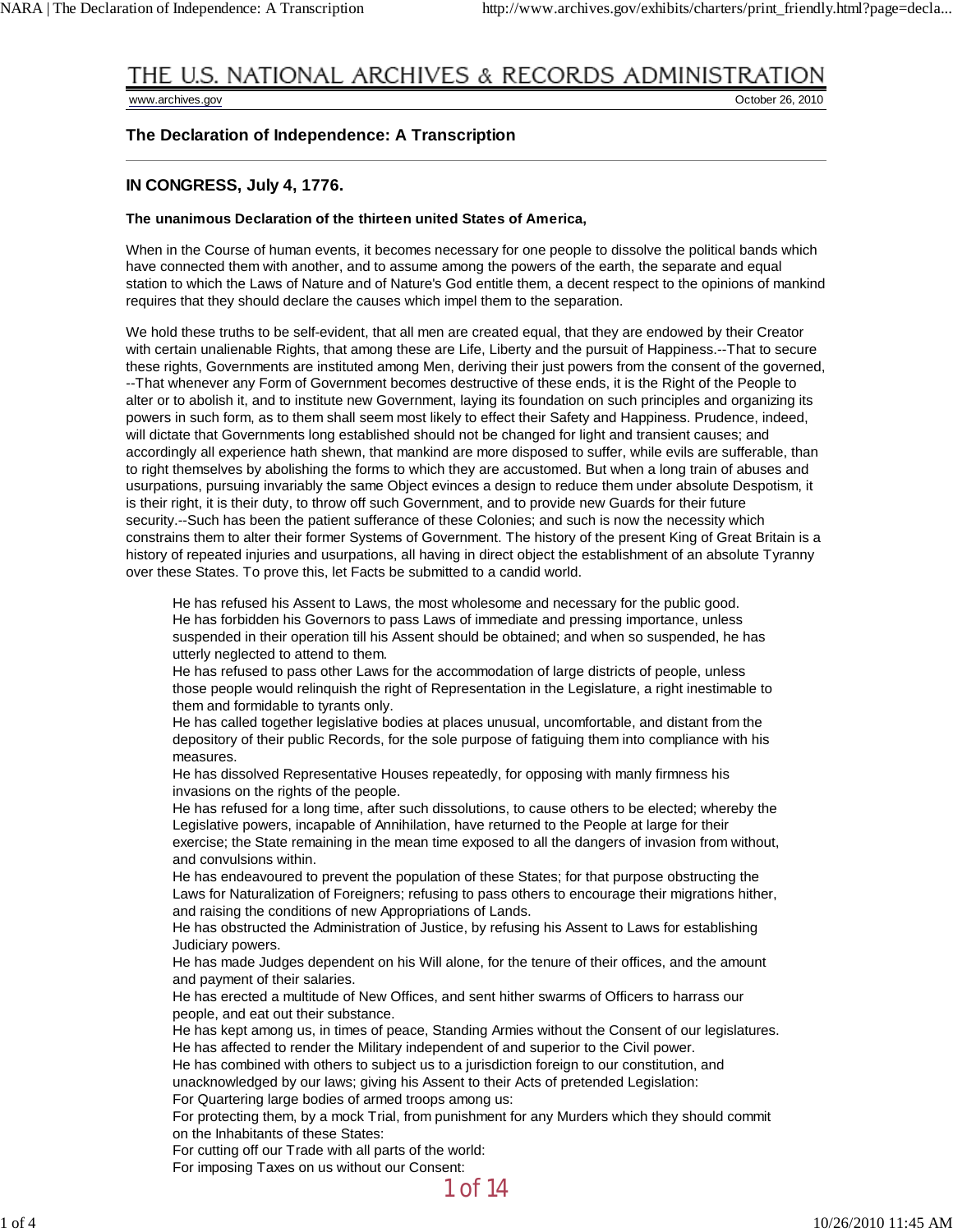### THE U.S. NATIONAL ARCHIVES & RECORDS ADMINISTRATION www.archives.gov Content 26, 2010

### **The Declaration of Independence: A Transcription**

#### **IN CONGRESS, July 4, 1776.**

#### **The unanimous Declaration of the thirteen united States of America,**

When in the Course of human events, it becomes necessary for one people to dissolve the political bands which have connected them with another, and to assume among the powers of the earth, the separate and equal station to which the Laws of Nature and of Nature's God entitle them, a decent respect to the opinions of mankind requires that they should declare the causes which impel them to the separation.

We hold these truths to be self-evident, that all men are created equal, that they are endowed by their Creator with certain unalienable Rights, that among these are Life, Liberty and the pursuit of Happiness.--That to secure these rights, Governments are instituted among Men, deriving their just powers from the consent of the governed, --That whenever any Form of Government becomes destructive of these ends, it is the Right of the People to alter or to abolish it, and to institute new Government, laying its foundation on such principles and organizing its powers in such form, as to them shall seem most likely to effect their Safety and Happiness. Prudence, indeed, will dictate that Governments long established should not be changed for light and transient causes; and accordingly all experience hath shewn, that mankind are more disposed to suffer, while evils are sufferable, than to right themselves by abolishing the forms to which they are accustomed. But when a long train of abuses and usurpations, pursuing invariably the same Object evinces a design to reduce them under absolute Despotism, it is their right, it is their duty, to throw off such Government, and to provide new Guards for their future security.--Such has been the patient sufferance of these Colonies; and such is now the necessity which constrains them to alter their former Systems of Government. The history of the present King of Great Britain is a history of repeated injuries and usurpations, all having in direct object the establishment of an absolute Tyranny over these States. To prove this, let Facts be submitted to a candid world.

He has refused his Assent to Laws, the most wholesome and necessary for the public good. He has forbidden his Governors to pass Laws of immediate and pressing importance, unless suspended in their operation till his Assent should be obtained; and when so suspended, he has utterly neglected to attend to them.

He has refused to pass other Laws for the accommodation of large districts of people, unless those people would relinquish the right of Representation in the Legislature, a right inestimable to them and formidable to tyrants only.

He has called together legislative bodies at places unusual, uncomfortable, and distant from the depository of their public Records, for the sole purpose of fatiguing them into compliance with his measures.

He has dissolved Representative Houses repeatedly, for opposing with manly firmness his invasions on the rights of the people.

He has refused for a long time, after such dissolutions, to cause others to be elected; whereby the Legislative powers, incapable of Annihilation, have returned to the People at large for their exercise; the State remaining in the mean time exposed to all the dangers of invasion from without, and convulsions within.

He has endeavoured to prevent the population of these States; for that purpose obstructing the Laws for Naturalization of Foreigners; refusing to pass others to encourage their migrations hither, and raising the conditions of new Appropriations of Lands.

He has obstructed the Administration of Justice, by refusing his Assent to Laws for establishing Judiciary powers.

He has made Judges dependent on his Will alone, for the tenure of their offices, and the amount and payment of their salaries.

He has erected a multitude of New Offices, and sent hither swarms of Officers to harrass our people, and eat out their substance.

He has kept among us, in times of peace, Standing Armies without the Consent of our legislatures. He has affected to render the Military independent of and superior to the Civil power.

He has combined with others to subject us to a jurisdiction foreign to our constitution, and unacknowledged by our laws; giving his Assent to their Acts of pretended Legislation: For Quartering large bodies of armed troops among us:

For protecting them, by a mock Trial, from punishment for any Murders which they should commit on the Inhabitants of these States:

For cutting off our Trade with all parts of the world:

For imposing Taxes on us without our Consent: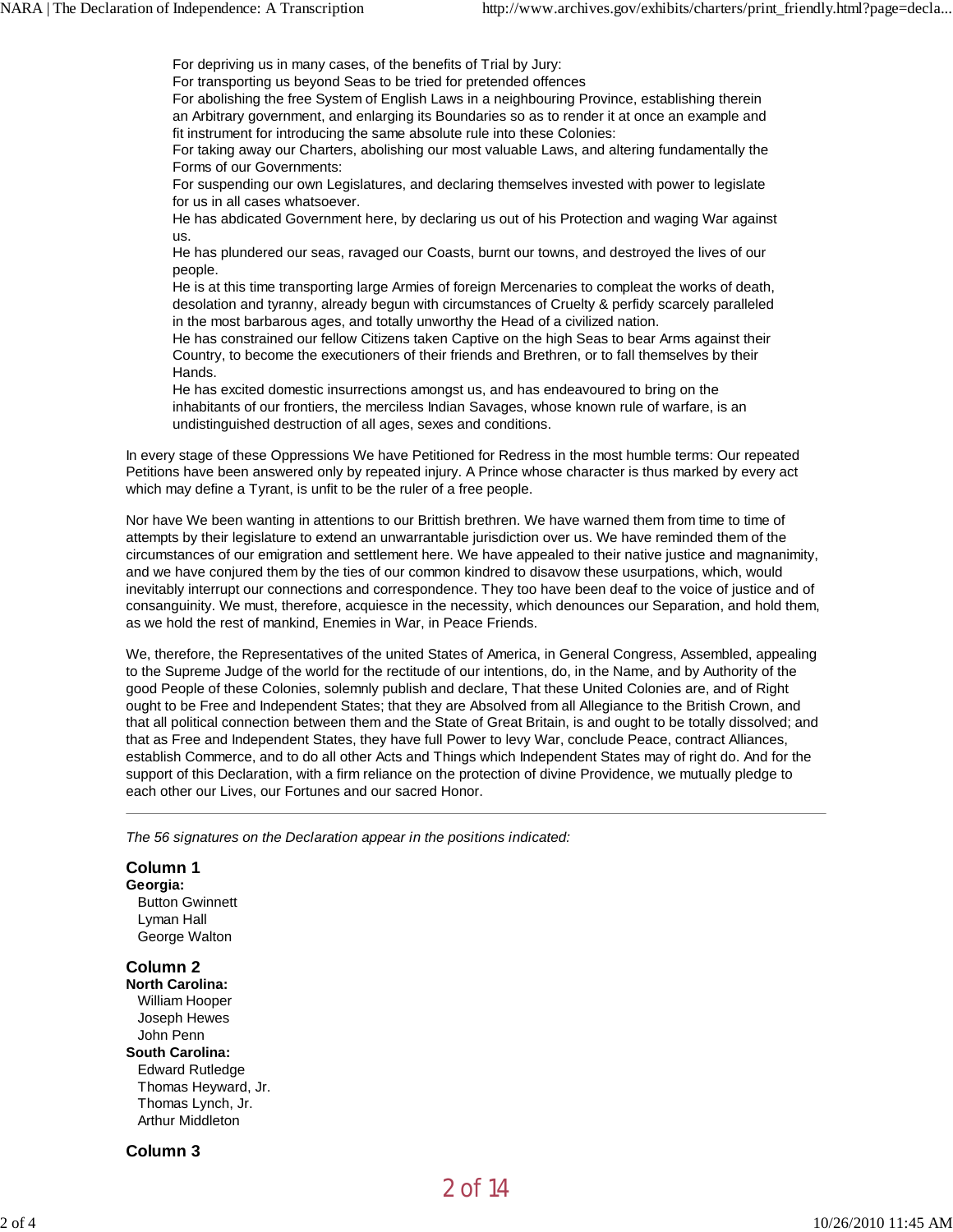For depriving us in many cases, of the benefits of Trial by Jury:

For transporting us beyond Seas to be tried for pretended offences

For abolishing the free System of English Laws in a neighbouring Province, establishing therein an Arbitrary government, and enlarging its Boundaries so as to render it at once an example and fit instrument for introducing the same absolute rule into these Colonies:

For taking away our Charters, abolishing our most valuable Laws, and altering fundamentally the Forms of our Governments:

For suspending our own Legislatures, and declaring themselves invested with power to legislate for us in all cases whatsoever.

He has abdicated Government here, by declaring us out of his Protection and waging War against us.

He has plundered our seas, ravaged our Coasts, burnt our towns, and destroyed the lives of our people.

He is at this time transporting large Armies of foreign Mercenaries to compleat the works of death, desolation and tyranny, already begun with circumstances of Cruelty & perfidy scarcely paralleled in the most barbarous ages, and totally unworthy the Head of a civilized nation.

He has constrained our fellow Citizens taken Captive on the high Seas to bear Arms against their Country, to become the executioners of their friends and Brethren, or to fall themselves by their Hands.

He has excited domestic insurrections amongst us, and has endeavoured to bring on the inhabitants of our frontiers, the merciless Indian Savages, whose known rule of warfare, is an undistinguished destruction of all ages, sexes and conditions.

In every stage of these Oppressions We have Petitioned for Redress in the most humble terms: Our repeated Petitions have been answered only by repeated injury. A Prince whose character is thus marked by every act which may define a Tyrant, is unfit to be the ruler of a free people.

Nor have We been wanting in attentions to our Brittish brethren. We have warned them from time to time of attempts by their legislature to extend an unwarrantable jurisdiction over us. We have reminded them of the circumstances of our emigration and settlement here. We have appealed to their native justice and magnanimity, and we have conjured them by the ties of our common kindred to disavow these usurpations, which, would inevitably interrupt our connections and correspondence. They too have been deaf to the voice of justice and of consanguinity. We must, therefore, acquiesce in the necessity, which denounces our Separation, and hold them, as we hold the rest of mankind, Enemies in War, in Peace Friends.

We, therefore, the Representatives of the united States of America, in General Congress, Assembled, appealing to the Supreme Judge of the world for the rectitude of our intentions, do, in the Name, and by Authority of the good People of these Colonies, solemnly publish and declare, That these United Colonies are, and of Right ought to be Free and Independent States; that they are Absolved from all Allegiance to the British Crown, and that all political connection between them and the State of Great Britain, is and ought to be totally dissolved; and that as Free and Independent States, they have full Power to levy War, conclude Peace, contract Alliances, establish Commerce, and to do all other Acts and Things which Independent States may of right do. And for the support of this Declaration, with a firm reliance on the protection of divine Providence, we mutually pledge to each other our Lives, our Fortunes and our sacred Honor.

*The 56 signatures on the Declaration appear in the positions indicated:*

**Column 1 Georgia:** Button Gwinnett Lyman Hall George Walton

**Column 2 North Carolina:** William Hooper Joseph Hewes John Penn **South Carolina:** Edward Rutledge Thomas Heyward, Jr. Thomas Lynch, Jr. Arthur Middleton

### **Column 3**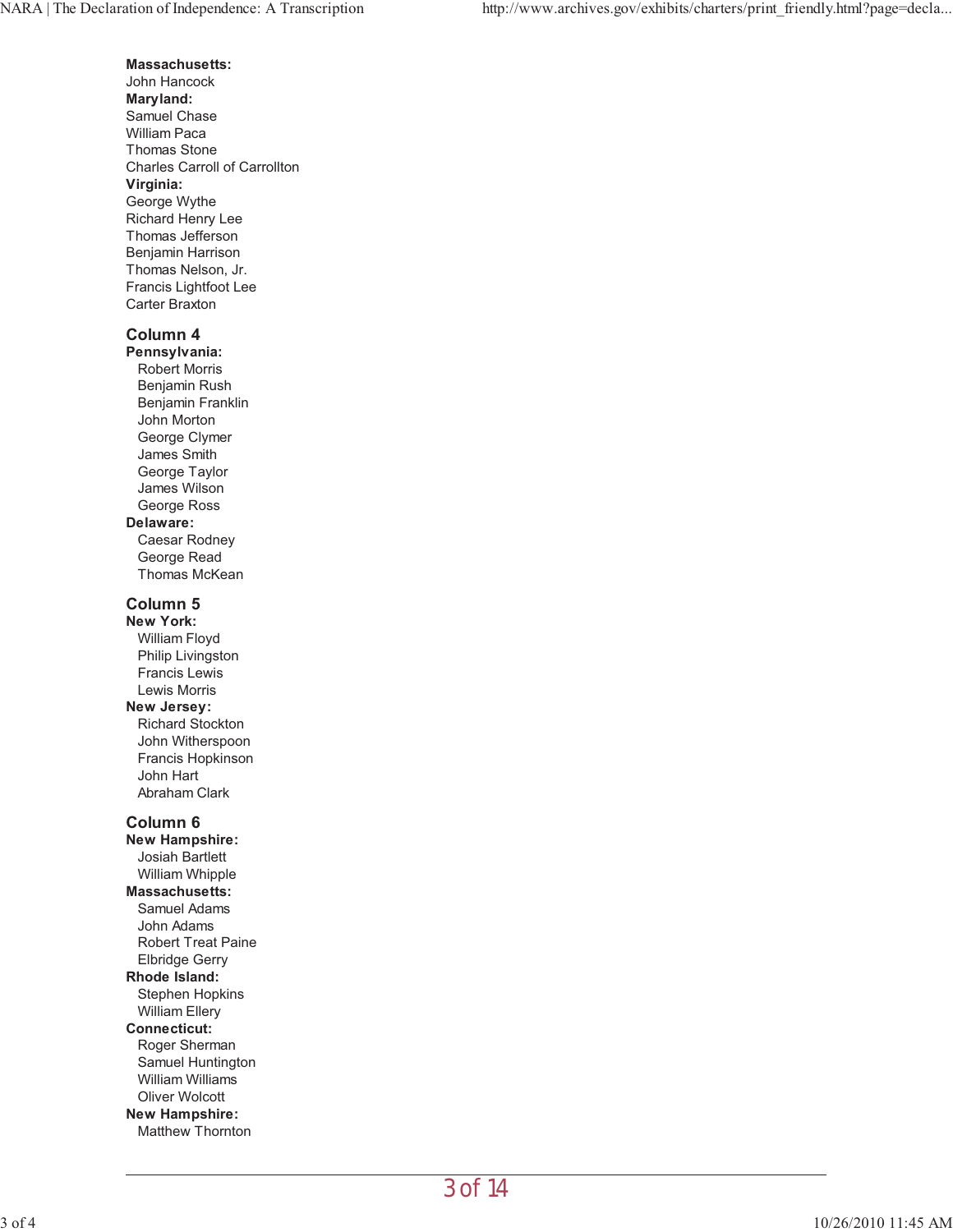**Massachusetts:**

NARA | The Declaration of Independence: A Transcription http://www.archives.gov/exhibits/charters/print\_friendly.html?page=decla...

John Hancock **Maryland:** Samuel Chase William Paca Thomas Stone Charles Carroll of Carrollton **Virginia:** George Wythe Richard Henry Lee Thomas Jefferson Benjamin Harrison Thomas Nelson, Jr. Francis Lightfoot Lee Carter Braxton **Column 4 Pennsylvania:** Robert Morris Benjamin Rush Benjamin Franklin John Morton George Clymer James Smith George Taylor James Wilson George Ross **Delaware:** Caesar Rodney George Read Thomas McKean **Column 5 New York:** William Floyd Philip Livingston Francis Lewis Lewis Morris **New Jersey:** Richard Stockton John Witherspoon Francis Hopkinson John Hart Abraham Clark **Column 6 New Hampshire:** Josiah Bartlett William Whipple **Massachusetts:** Samuel Adams John Adams Robert Treat Paine Elbridge Gerry **Rhode Island:** Stephen Hopkins William Ellery **Connecticut:** Roger Sherman Samuel Huntington William Williams Oliver Wolcott **New Hampshire:** Matthew Thornton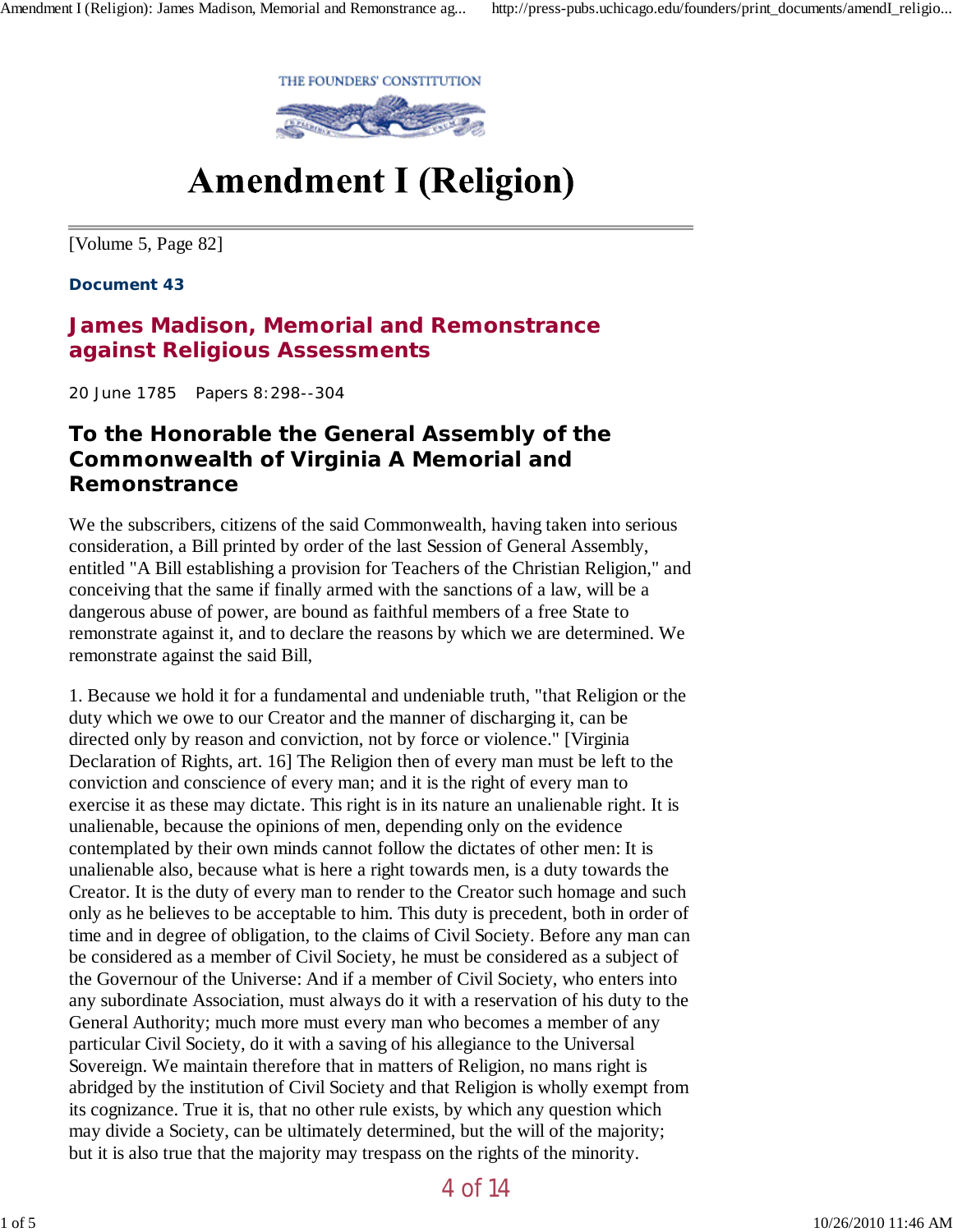

# **Amendment I (Religion)**

[Volume 5, Page 82]

**Document 43**

### **James Madison, Memorial and Remonstrance against Religious Assessments**

20 June 1785 *Papers 8:298--304*

### **To the Honorable the General Assembly of the Commonwealth of Virginia A Memorial and Remonstrance**

We the subscribers, citizens of the said Commonwealth, having taken into serious consideration, a Bill printed by order of the last Session of General Assembly, entitled "A Bill establishing a provision for Teachers of the Christian Religion," and conceiving that the same if finally armed with the sanctions of a law, will be a dangerous abuse of power, are bound as faithful members of a free State to remonstrate against it, and to declare the reasons by which we are determined. We remonstrate against the said Bill,

1. Because we hold it for a fundamental and undeniable truth, "that Religion or the duty which we owe to our Creator and the manner of discharging it, can be directed only by reason and conviction, not by force or violence." [Virginia Declaration of Rights, art. 16] The Religion then of every man must be left to the conviction and conscience of every man; and it is the right of every man to exercise it as these may dictate. This right is in its nature an unalienable right. It is unalienable, because the opinions of men, depending only on the evidence contemplated by their own minds cannot follow the dictates of other men: It is unalienable also, because what is here a right towards men, is a duty towards the Creator. It is the duty of every man to render to the Creator such homage and such only as he believes to be acceptable to him. This duty is precedent, both in order of time and in degree of obligation, to the claims of Civil Society. Before any man can be considered as a member of Civil Society, he must be considered as a subject of the Governour of the Universe: And if a member of Civil Society, who enters into any subordinate Association, must always do it with a reservation of his duty to the General Authority; much more must every man who becomes a member of any particular Civil Society, do it with a saving of his allegiance to the Universal Sovereign. We maintain therefore that in matters of Religion, no mans right is abridged by the institution of Civil Society and that Religion is wholly exempt from its cognizance. True it is, that no other rule exists, by which any question which may divide a Society, can be ultimately determined, but the will of the majority; but it is also true that the majority may trespass on the rights of the minority.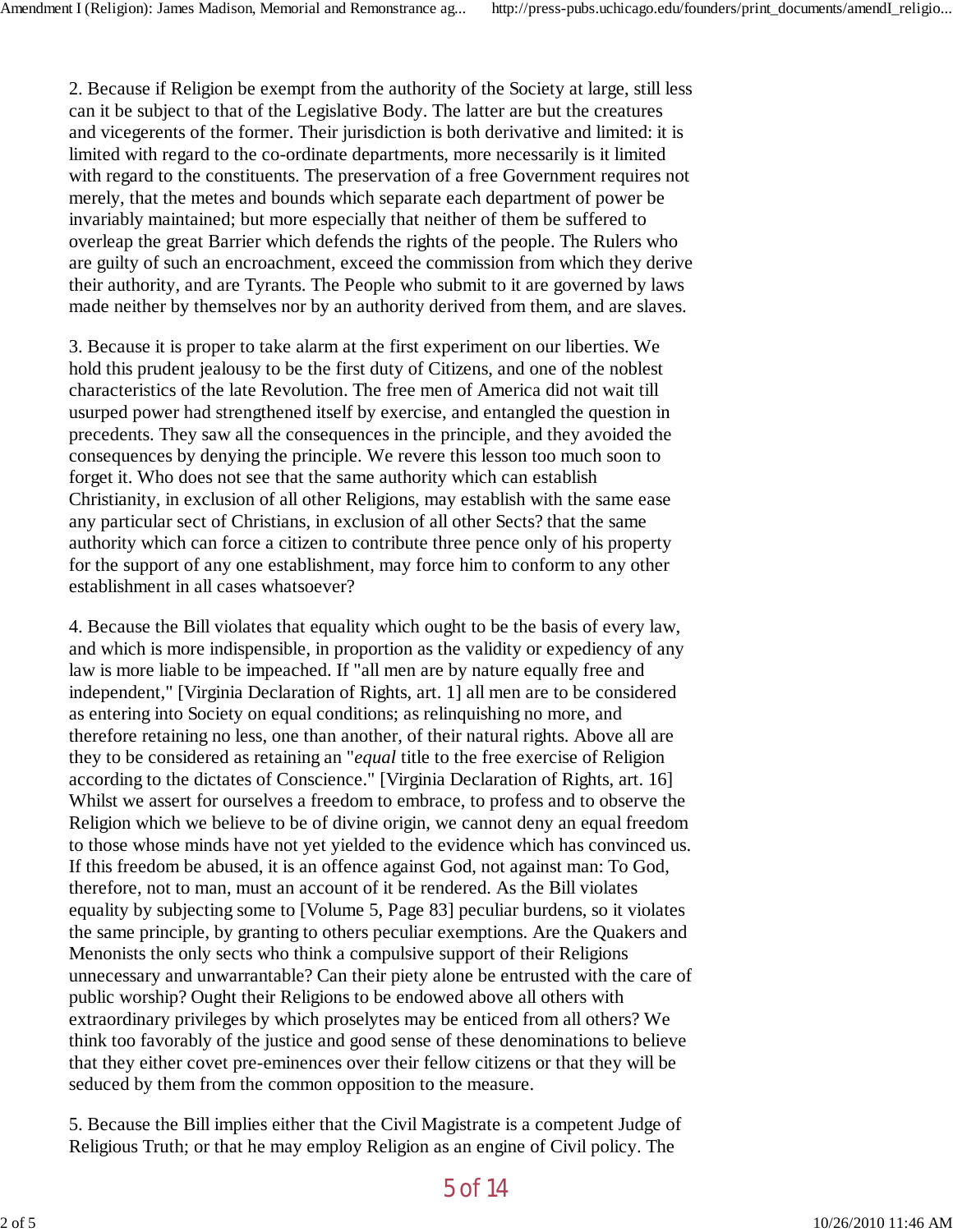2. Because if Religion be exempt from the authority of the Society at large, still less can it be subject to that of the Legislative Body. The latter are but the creatures and vicegerents of the former. Their jurisdiction is both derivative and limited: it is limited with regard to the co-ordinate departments, more necessarily is it limited with regard to the constituents. The preservation of a free Government requires not merely, that the metes and bounds which separate each department of power be invariably maintained; but more especially that neither of them be suffered to overleap the great Barrier which defends the rights of the people. The Rulers who are guilty of such an encroachment, exceed the commission from which they derive their authority, and are Tyrants. The People who submit to it are governed by laws made neither by themselves nor by an authority derived from them, and are slaves.

3. Because it is proper to take alarm at the first experiment on our liberties. We hold this prudent jealousy to be the first duty of Citizens, and one of the noblest characteristics of the late Revolution. The free men of America did not wait till usurped power had strengthened itself by exercise, and entangled the question in precedents. They saw all the consequences in the principle, and they avoided the consequences by denying the principle. We revere this lesson too much soon to forget it. Who does not see that the same authority which can establish Christianity, in exclusion of all other Religions, may establish with the same ease any particular sect of Christians, in exclusion of all other Sects? that the same authority which can force a citizen to contribute three pence only of his property for the support of any one establishment, may force him to conform to any other establishment in all cases whatsoever?

4. Because the Bill violates that equality which ought to be the basis of every law, and which is more indispensible, in proportion as the validity or expediency of any law is more liable to be impeached. If "all men are by nature equally free and independent," [Virginia Declaration of Rights, art. 1] all men are to be considered as entering into Society on equal conditions; as relinquishing no more, and therefore retaining no less, one than another, of their natural rights. Above all are they to be considered as retaining an "*equal* title to the free exercise of Religion according to the dictates of Conscience." [Virginia Declaration of Rights, art. 16] Whilst we assert for ourselves a freedom to embrace, to profess and to observe the Religion which we believe to be of divine origin, we cannot deny an equal freedom to those whose minds have not yet yielded to the evidence which has convinced us. If this freedom be abused, it is an offence against God, not against man: To God, therefore, not to man, must an account of it be rendered. As the Bill violates equality by subjecting some to [Volume 5, Page 83] peculiar burdens, so it violates the same principle, by granting to others peculiar exemptions. Are the Quakers and Menonists the only sects who think a compulsive support of their Religions unnecessary and unwarrantable? Can their piety alone be entrusted with the care of public worship? Ought their Religions to be endowed above all others with extraordinary privileges by which proselytes may be enticed from all others? We think too favorably of the justice and good sense of these denominations to believe that they either covet pre-eminences over their fellow citizens or that they will be seduced by them from the common opposition to the measure.

5. Because the Bill implies either that the Civil Magistrate is a competent Judge of Religious Truth; or that he may employ Religion as an engine of Civil policy. The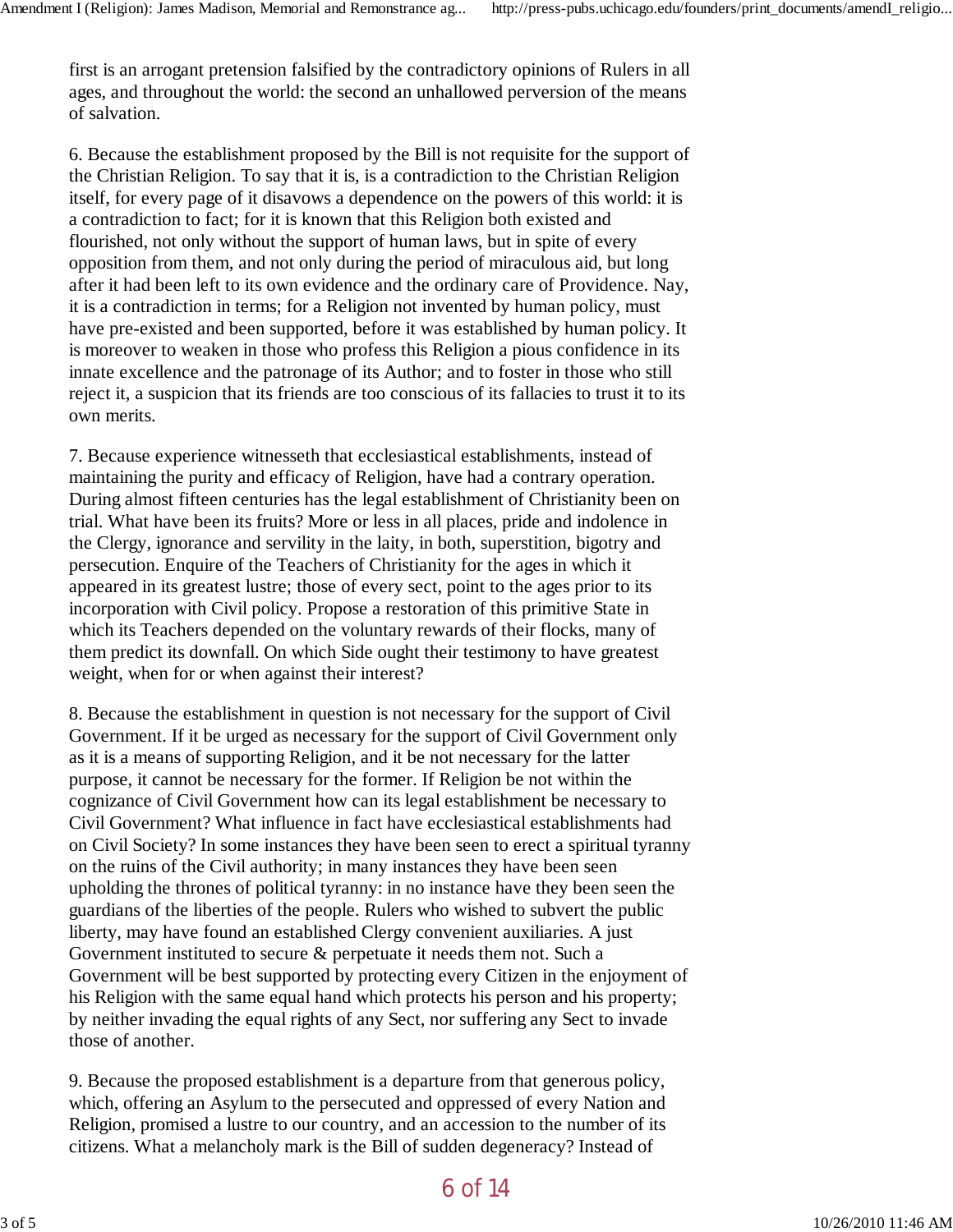first is an arrogant pretension falsified by the contradictory opinions of Rulers in all ages, and throughout the world: the second an unhallowed perversion of the means of salvation.

6. Because the establishment proposed by the Bill is not requisite for the support of the Christian Religion. To say that it is, is a contradiction to the Christian Religion itself, for every page of it disavows a dependence on the powers of this world: it is a contradiction to fact; for it is known that this Religion both existed and flourished, not only without the support of human laws, but in spite of every opposition from them, and not only during the period of miraculous aid, but long after it had been left to its own evidence and the ordinary care of Providence. Nay, it is a contradiction in terms; for a Religion not invented by human policy, must have pre-existed and been supported, before it was established by human policy. It is moreover to weaken in those who profess this Religion a pious confidence in its innate excellence and the patronage of its Author; and to foster in those who still reject it, a suspicion that its friends are too conscious of its fallacies to trust it to its own merits.

7. Because experience witnesseth that ecclesiastical establishments, instead of maintaining the purity and efficacy of Religion, have had a contrary operation. During almost fifteen centuries has the legal establishment of Christianity been on trial. What have been its fruits? More or less in all places, pride and indolence in the Clergy, ignorance and servility in the laity, in both, superstition, bigotry and persecution. Enquire of the Teachers of Christianity for the ages in which it appeared in its greatest lustre; those of every sect, point to the ages prior to its incorporation with Civil policy. Propose a restoration of this primitive State in which its Teachers depended on the voluntary rewards of their flocks, many of them predict its downfall. On which Side ought their testimony to have greatest weight, when for or when against their interest?

8. Because the establishment in question is not necessary for the support of Civil Government. If it be urged as necessary for the support of Civil Government only as it is a means of supporting Religion, and it be not necessary for the latter purpose, it cannot be necessary for the former. If Religion be not within the cognizance of Civil Government how can its legal establishment be necessary to Civil Government? What influence in fact have ecclesiastical establishments had on Civil Society? In some instances they have been seen to erect a spiritual tyranny on the ruins of the Civil authority; in many instances they have been seen upholding the thrones of political tyranny: in no instance have they been seen the guardians of the liberties of the people. Rulers who wished to subvert the public liberty, may have found an established Clergy convenient auxiliaries. A just Government instituted to secure & perpetuate it needs them not. Such a Government will be best supported by protecting every Citizen in the enjoyment of his Religion with the same equal hand which protects his person and his property; by neither invading the equal rights of any Sect, nor suffering any Sect to invade those of another.

9. Because the proposed establishment is a departure from that generous policy, which, offering an Asylum to the persecuted and oppressed of every Nation and Religion, promised a lustre to our country, and an accession to the number of its citizens. What a melancholy mark is the Bill of sudden degeneracy? Instead of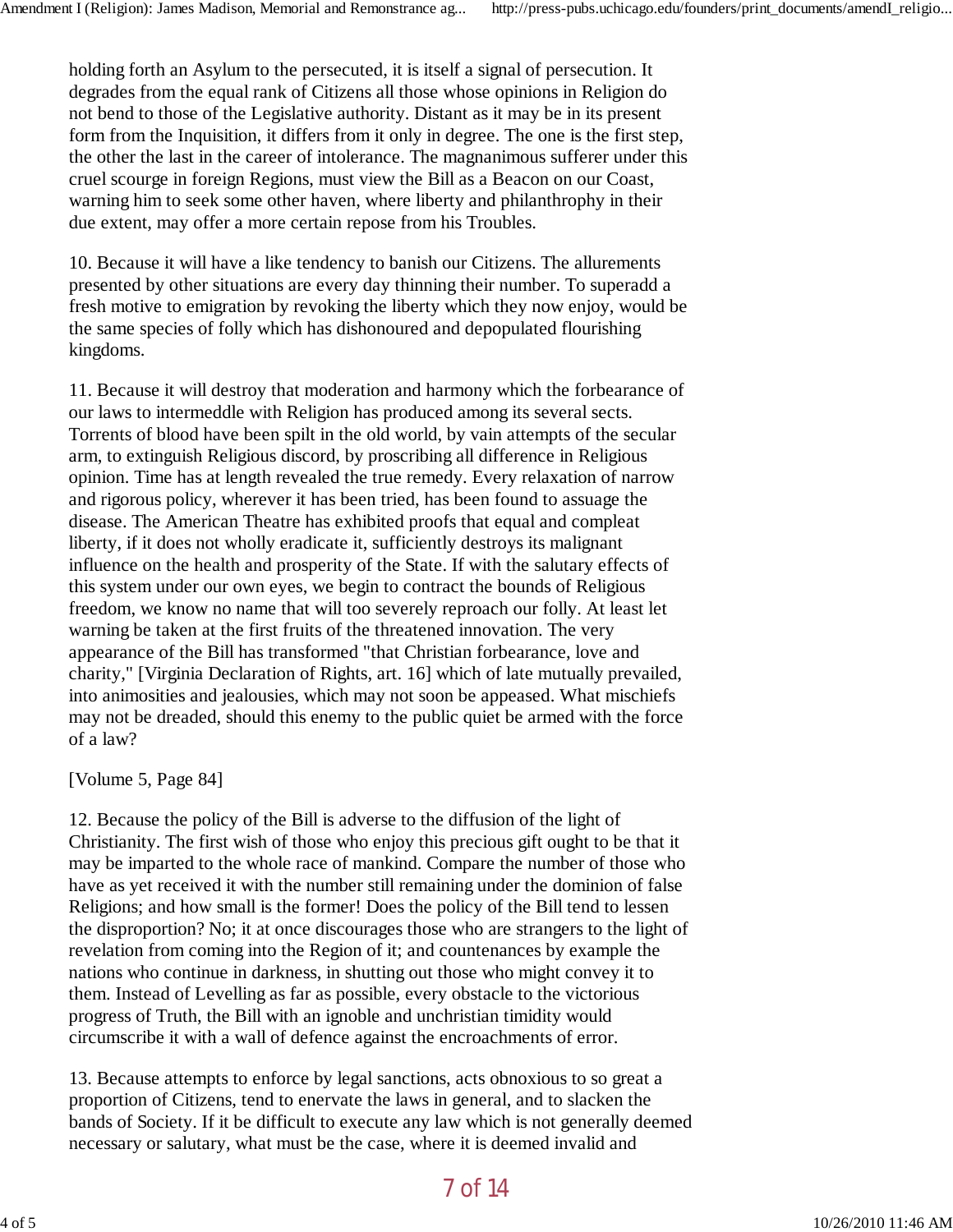holding forth an Asylum to the persecuted, it is itself a signal of persecution. It degrades from the equal rank of Citizens all those whose opinions in Religion do not bend to those of the Legislative authority. Distant as it may be in its present form from the Inquisition, it differs from it only in degree. The one is the first step, the other the last in the career of intolerance. The magnanimous sufferer under this cruel scourge in foreign Regions, must view the Bill as a Beacon on our Coast, warning him to seek some other haven, where liberty and philanthrophy in their due extent, may offer a more certain repose from his Troubles.

10. Because it will have a like tendency to banish our Citizens. The allurements presented by other situations are every day thinning their number. To superadd a fresh motive to emigration by revoking the liberty which they now enjoy, would be the same species of folly which has dishonoured and depopulated flourishing kingdoms.

11. Because it will destroy that moderation and harmony which the forbearance of our laws to intermeddle with Religion has produced among its several sects. Torrents of blood have been spilt in the old world, by vain attempts of the secular arm, to extinguish Religious discord, by proscribing all difference in Religious opinion. Time has at length revealed the true remedy. Every relaxation of narrow and rigorous policy, wherever it has been tried, has been found to assuage the disease. The American Theatre has exhibited proofs that equal and compleat liberty, if it does not wholly eradicate it, sufficiently destroys its malignant influence on the health and prosperity of the State. If with the salutary effects of this system under our own eyes, we begin to contract the bounds of Religious freedom, we know no name that will too severely reproach our folly. At least let warning be taken at the first fruits of the threatened innovation. The very appearance of the Bill has transformed "that Christian forbearance, love and charity," [Virginia Declaration of Rights, art. 16] which of late mutually prevailed, into animosities and jealousies, which may not soon be appeased. What mischiefs may not be dreaded, should this enemy to the public quiet be armed with the force of a law?

[Volume 5, Page 84]

12. Because the policy of the Bill is adverse to the diffusion of the light of Christianity. The first wish of those who enjoy this precious gift ought to be that it may be imparted to the whole race of mankind. Compare the number of those who have as yet received it with the number still remaining under the dominion of false Religions; and how small is the former! Does the policy of the Bill tend to lessen the disproportion? No; it at once discourages those who are strangers to the light of revelation from coming into the Region of it; and countenances by example the nations who continue in darkness, in shutting out those who might convey it to them. Instead of Levelling as far as possible, every obstacle to the victorious progress of Truth, the Bill with an ignoble and unchristian timidity would circumscribe it with a wall of defence against the encroachments of error.

13. Because attempts to enforce by legal sanctions, acts obnoxious to so great a proportion of Citizens, tend to enervate the laws in general, and to slacken the bands of Society. If it be difficult to execute any law which is not generally deemed necessary or salutary, what must be the case, where it is deemed invalid and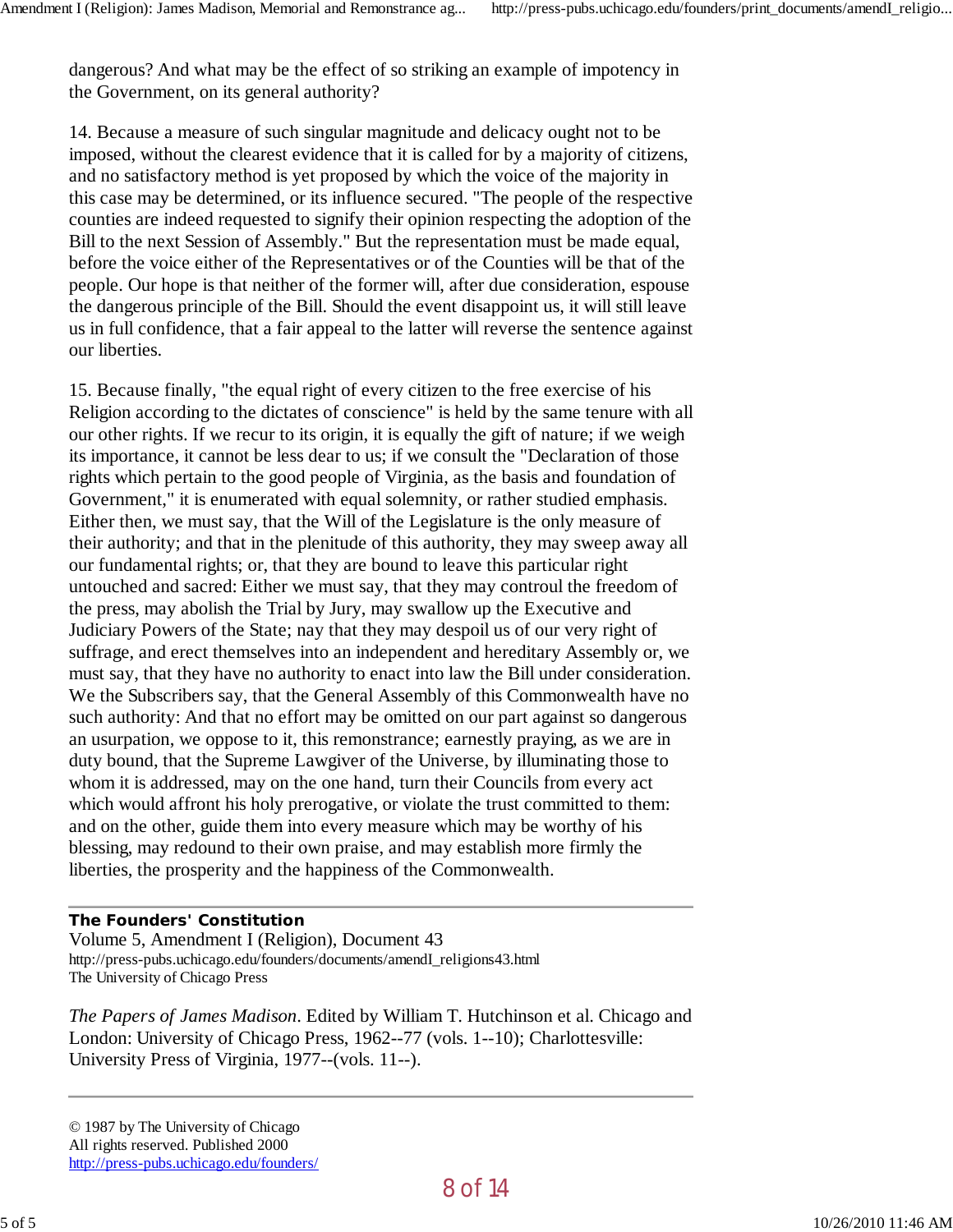dangerous? And what may be the effect of so striking an example of impotency in the Government, on its general authority?

14. Because a measure of such singular magnitude and delicacy ought not to be imposed, without the clearest evidence that it is called for by a majority of citizens, and no satisfactory method is yet proposed by which the voice of the majority in this case may be determined, or its influence secured. "The people of the respective counties are indeed requested to signify their opinion respecting the adoption of the Bill to the next Session of Assembly." But the representation must be made equal, before the voice either of the Representatives or of the Counties will be that of the people. Our hope is that neither of the former will, after due consideration, espouse the dangerous principle of the Bill. Should the event disappoint us, it will still leave us in full confidence, that a fair appeal to the latter will reverse the sentence against our liberties.

15. Because finally, "the equal right of every citizen to the free exercise of his Religion according to the dictates of conscience" is held by the same tenure with all our other rights. If we recur to its origin, it is equally the gift of nature; if we weigh its importance, it cannot be less dear to us; if we consult the "Declaration of those rights which pertain to the good people of Virginia, as the basis and foundation of Government," it is enumerated with equal solemnity, or rather studied emphasis. Either then, we must say, that the Will of the Legislature is the only measure of their authority; and that in the plenitude of this authority, they may sweep away all our fundamental rights; or, that they are bound to leave this particular right untouched and sacred: Either we must say, that they may controul the freedom of the press, may abolish the Trial by Jury, may swallow up the Executive and Judiciary Powers of the State; nay that they may despoil us of our very right of suffrage, and erect themselves into an independent and hereditary Assembly or, we must say, that they have no authority to enact into law the Bill under consideration. We the Subscribers say, that the General Assembly of this Commonwealth have no such authority: And that no effort may be omitted on our part against so dangerous an usurpation, we oppose to it, this remonstrance; earnestly praying, as we are in duty bound, that the Supreme Lawgiver of the Universe, by illuminating those to whom it is addressed, may on the one hand, turn their Councils from every act which would affront his holy prerogative, or violate the trust committed to them: and on the other, guide them into every measure which may be worthy of his blessing, may redound to their own praise, and may establish more firmly the liberties, the prosperity and the happiness of the Commonwealth.

#### **The Founders' Constitution**

Volume 5, Amendment I (Religion), Document 43 http://press-pubs.uchicago.edu/founders/documents/amendI\_religions43.html The University of Chicago Press

*The Papers of James Madison*. Edited by William T. Hutchinson et al. Chicago and London: University of Chicago Press, 1962--77 (vols. 1--10); Charlottesville: University Press of Virginia, 1977--(vols. 11--).

© 1987 by The University of Chicago All rights reserved. Published 2000 http://press-pubs.uchicago.edu/founders/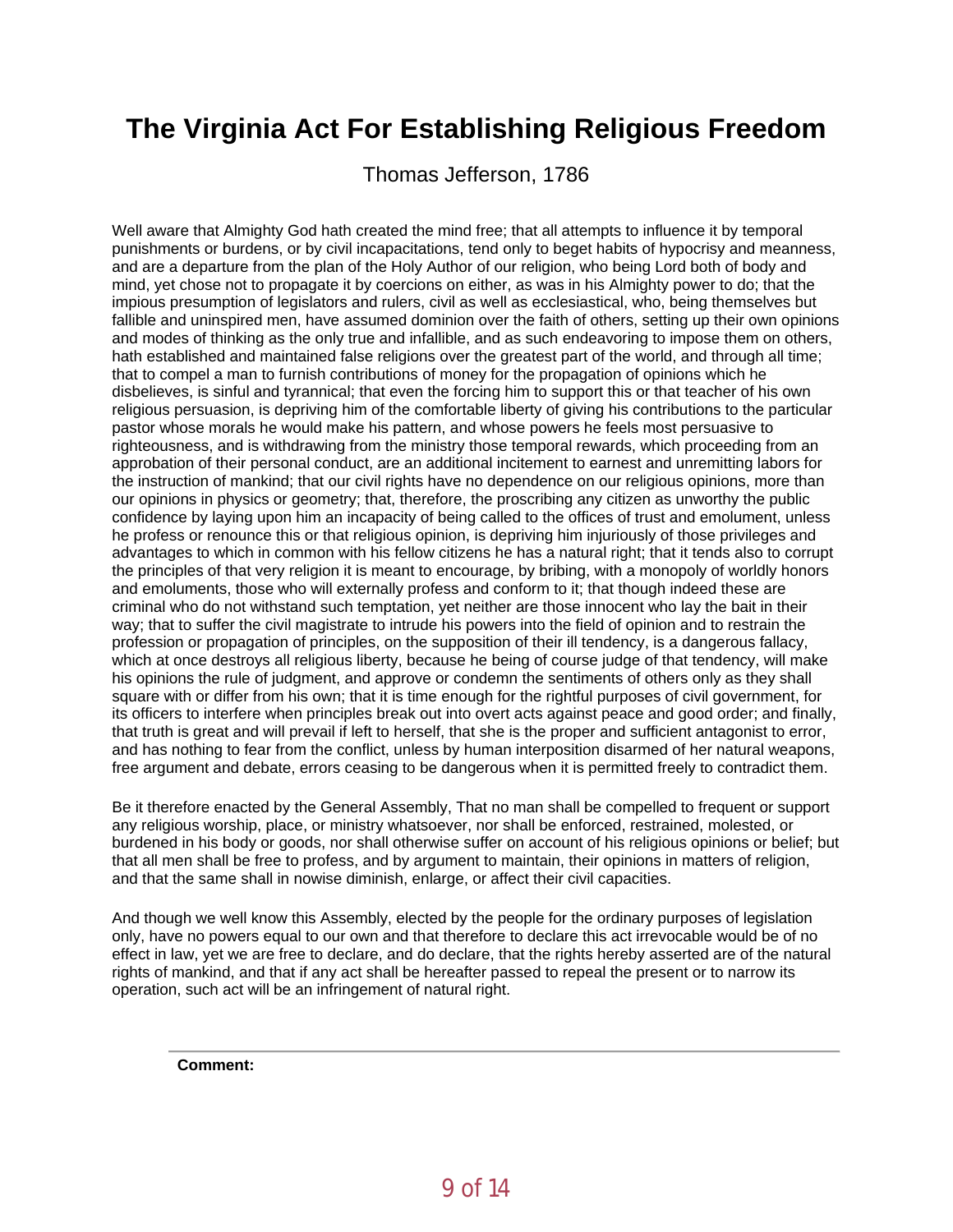## **The Virginia Act For Establishing Religious Freedom**

Thomas Jefferson, 1786

Well aware that Almighty God hath created the mind free; that all attempts to influence it by temporal punishments or burdens, or by civil incapacitations, tend only to beget habits of hypocrisy and meanness, and are a departure from the plan of the Holy Author of our religion, who being Lord both of body and mind, yet chose not to propagate it by coercions on either, as was in his Almighty power to do; that the impious presumption of legislators and rulers, civil as well as ecclesiastical, who, being themselves but fallible and uninspired men, have assumed dominion over the faith of others, setting up their own opinions and modes of thinking as the only true and infallible, and as such endeavoring to impose them on others, hath established and maintained false religions over the greatest part of the world, and through all time; that to compel a man to furnish contributions of money for the propagation of opinions which he disbelieves, is sinful and tyrannical; that even the forcing him to support this or that teacher of his own religious persuasion, is depriving him of the comfortable liberty of giving his contributions to the particular pastor whose morals he would make his pattern, and whose powers he feels most persuasive to righteousness, and is withdrawing from the ministry those temporal rewards, which proceeding from an approbation of their personal conduct, are an additional incitement to earnest and unremitting labors for the instruction of mankind; that our civil rights have no dependence on our religious opinions, more than our opinions in physics or geometry; that, therefore, the proscribing any citizen as unworthy the public confidence by laying upon him an incapacity of being called to the offices of trust and emolument, unless he profess or renounce this or that religious opinion, is depriving him injuriously of those privileges and advantages to which in common with his fellow citizens he has a natural right; that it tends also to corrupt the principles of that very religion it is meant to encourage, by bribing, with a monopoly of worldly honors and emoluments, those who will externally profess and conform to it; that though indeed these are criminal who do not withstand such temptation, yet neither are those innocent who lay the bait in their way; that to suffer the civil magistrate to intrude his powers into the field of opinion and to restrain the profession or propagation of principles, on the supposition of their ill tendency, is a dangerous fallacy, which at once destroys all religious liberty, because he being of course judge of that tendency, will make his opinions the rule of judgment, and approve or condemn the sentiments of others only as they shall square with or differ from his own; that it is time enough for the rightful purposes of civil government, for its officers to interfere when principles break out into overt acts against peace and good order; and finally, that truth is great and will prevail if left to herself, that she is the proper and sufficient antagonist to error, and has nothing to fear from the conflict, unless by human interposition disarmed of her natural weapons, free argument and debate, errors ceasing to be dangerous when it is permitted freely to contradict them.

Be it therefore enacted by the General Assembly, That no man shall be compelled to frequent or support any religious worship, place, or ministry whatsoever, nor shall be enforced, restrained, molested, or burdened in his body or goods, nor shall otherwise suffer on account of his religious opinions or belief; but that all men shall be free to profess, and by argument to maintain, their opinions in matters of religion, and that the same shall in nowise diminish, enlarge, or affect their civil capacities.

And though we well know this Assembly, elected by the people for the ordinary purposes of legislation only, have no powers equal to our own and that therefore to declare this act irrevocable would be of no effect in law, yet we are free to declare, and do declare, that the rights hereby asserted are of the natural rights of mankind, and that if any act shall be hereafter passed to repeal the present or to narrow its operation, such act will be an infringement of natural right.

**Comment:**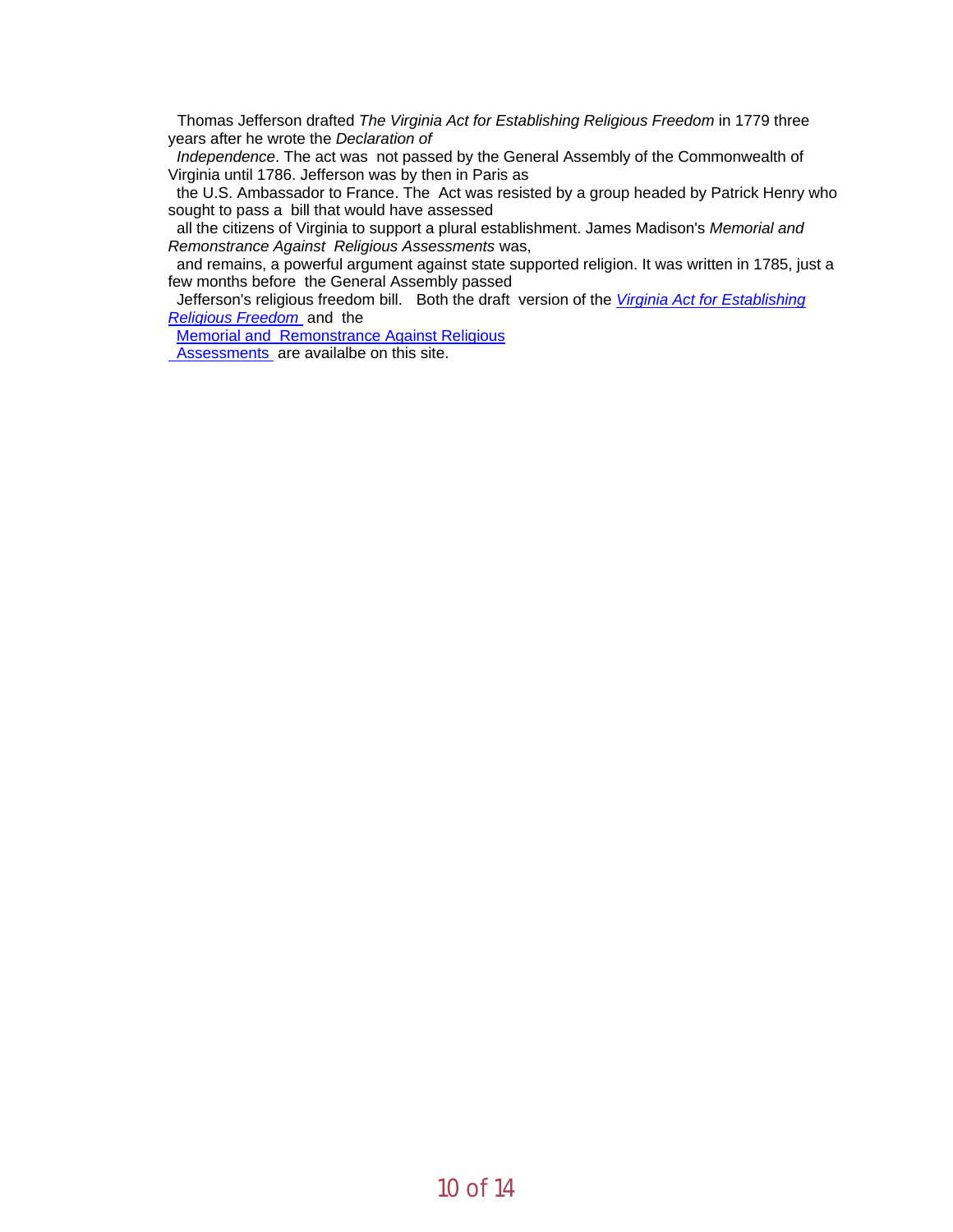Thomas Jefferson drafted *The Virginia Act for Establishing Religious Freedom* in 1779 three years after he wrote the *Declaration of* 

 *Independence*. The act was not passed by the General Assembly of the Commonwealth of Virginia until 1786. Jefferson was by then in Paris as

 the U.S. Ambassador to France. The Act was resisted by a group headed by Patrick Henry who sought to pass a bill that would have assessed

 all the citizens of Virginia to support a plural establishment. James Madison's *Memorial and Remonstrance Against Religious Assessments* was,

 and remains, a powerful argument against state supported religion. It was written in 1785, just a few months before the General Assembly passed

 Jefferson's religious freedom bill. Both the draft version of the *Virginia Act for Establishing Religious Freedom* and the

Memorial and Remonstrance Against Religious

Assessments are availalbe on this site.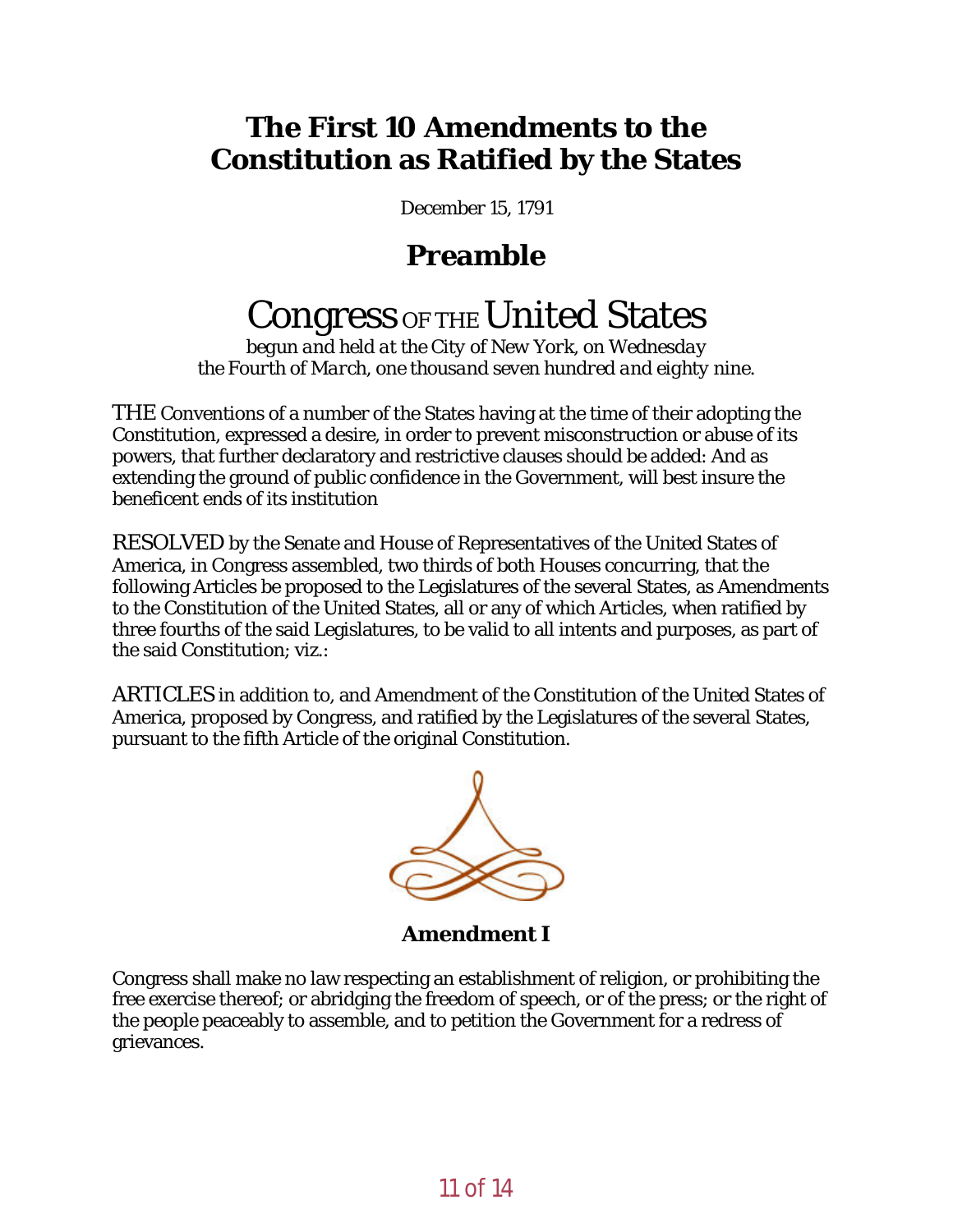## **The First 10 Amendments to the Constitution as Ratified by the States**

December 15, 1791

## **Preamble**

# Congress OF THE United States

*begun and held at the City of New York, on Wednesday the Fourth of March, one thousand seven hundred and eighty nine.*

THE Conventions of a number of the States having at the time of their adopting the Constitution, expressed a desire, in order to prevent misconstruction or abuse of its powers, that further declaratory and restrictive clauses should be added: And as extending the ground of public confidence in the Government, will best insure the beneficent ends of its institution

RESOLVED by the Senate and House of Representatives of the United States of America, in Congress assembled, two thirds of both Houses concurring, that the following Articles be proposed to the Legislatures of the several States, as Amendments to the Constitution of the United States, all or any of which Articles, when ratified by three fourths of the said Legislatures, to be valid to all intents and purposes, as part of the said Constitution; viz.:

ARTICLES in addition to, and Amendment of the Constitution of the United States of America, proposed by Congress, and ratified by the Legislatures of the several States, pursuant to the fifth Article of the original Constitution.



**Amendment I** 

Congress shall make no law respecting an establishment of religion, or prohibiting the free exercise thereof; or abridging the freedom of speech, or of the press; or the right of the people peaceably to assemble, and to petition the Government for a redress of grievances.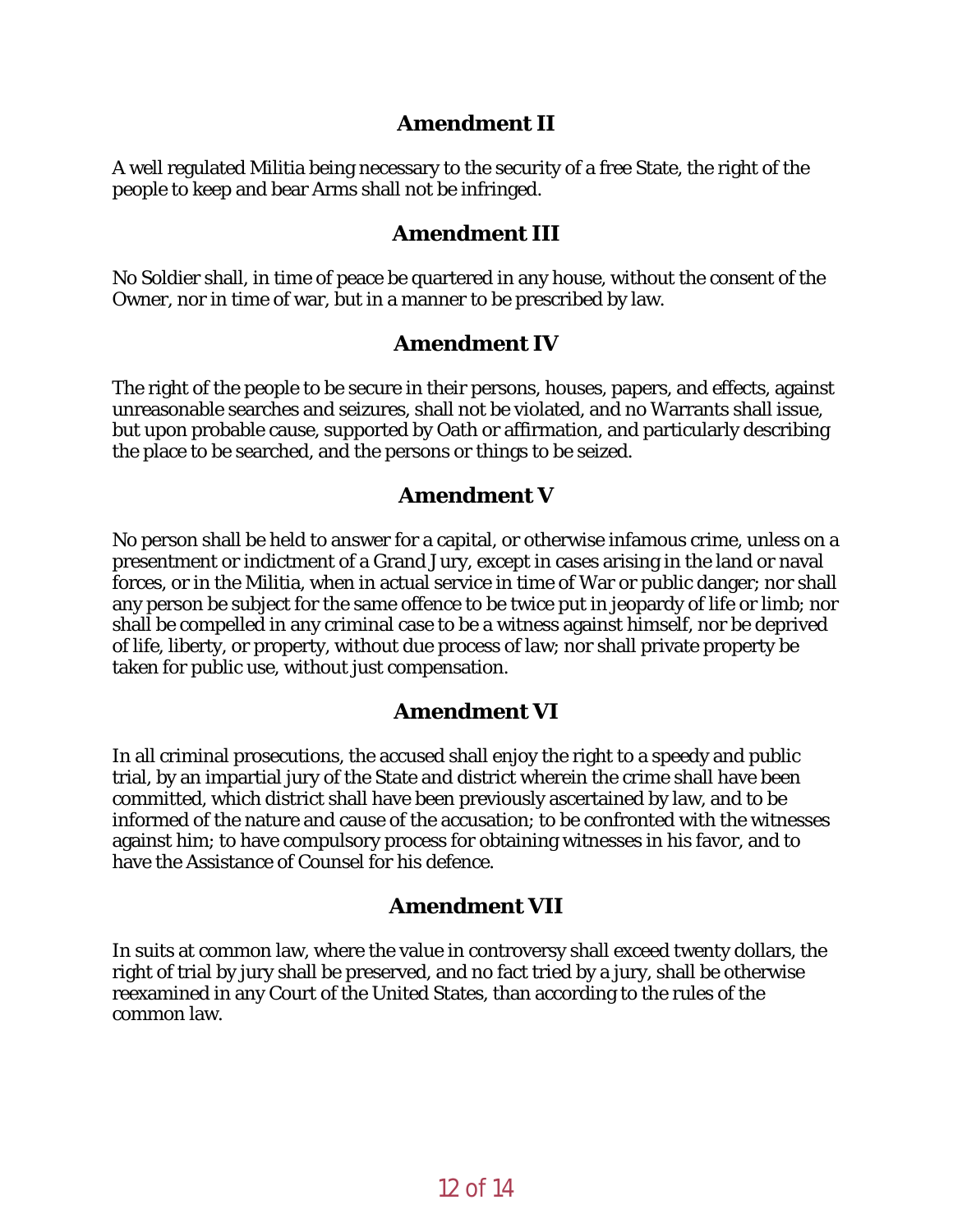### **Amendment II**

A well regulated Militia being necessary to the security of a free State, the right of the people to keep and bear Arms shall not be infringed.

### **Amendment III**

No Soldier shall, in time of peace be quartered in any house, without the consent of the Owner, nor in time of war, but in a manner to be prescribed by law.

### **Amendment IV**

The right of the people to be secure in their persons, houses, papers, and effects, against unreasonable searches and seizures, shall not be violated, and no Warrants shall issue, but upon probable cause, supported by Oath or affirmation, and particularly describing the place to be searched, and the persons or things to be seized.

### **Amendment V**

No person shall be held to answer for a capital, or otherwise infamous crime, unless on a presentment or indictment of a Grand Jury, except in cases arising in the land or naval forces, or in the Militia, when in actual service in time of War or public danger; nor shall any person be subject for the same offence to be twice put in jeopardy of life or limb; nor shall be compelled in any criminal case to be a witness against himself, nor be deprived of life, liberty, or property, without due process of law; nor shall private property be taken for public use, without just compensation.

### **Amendment VI**

In all criminal prosecutions, the accused shall enjoy the right to a speedy and public trial, by an impartial jury of the State and district wherein the crime shall have been committed, which district shall have been previously ascertained by law, and to be informed of the nature and cause of the accusation; to be confronted with the witnesses against him; to have compulsory process for obtaining witnesses in his favor, and to have the Assistance of Counsel for his defence.

### **Amendment VII**

In suits at common law, where the value in controversy shall exceed twenty dollars, the right of trial by jury shall be preserved, and no fact tried by a jury, shall be otherwise reexamined in any Court of the United States, than according to the rules of the common law.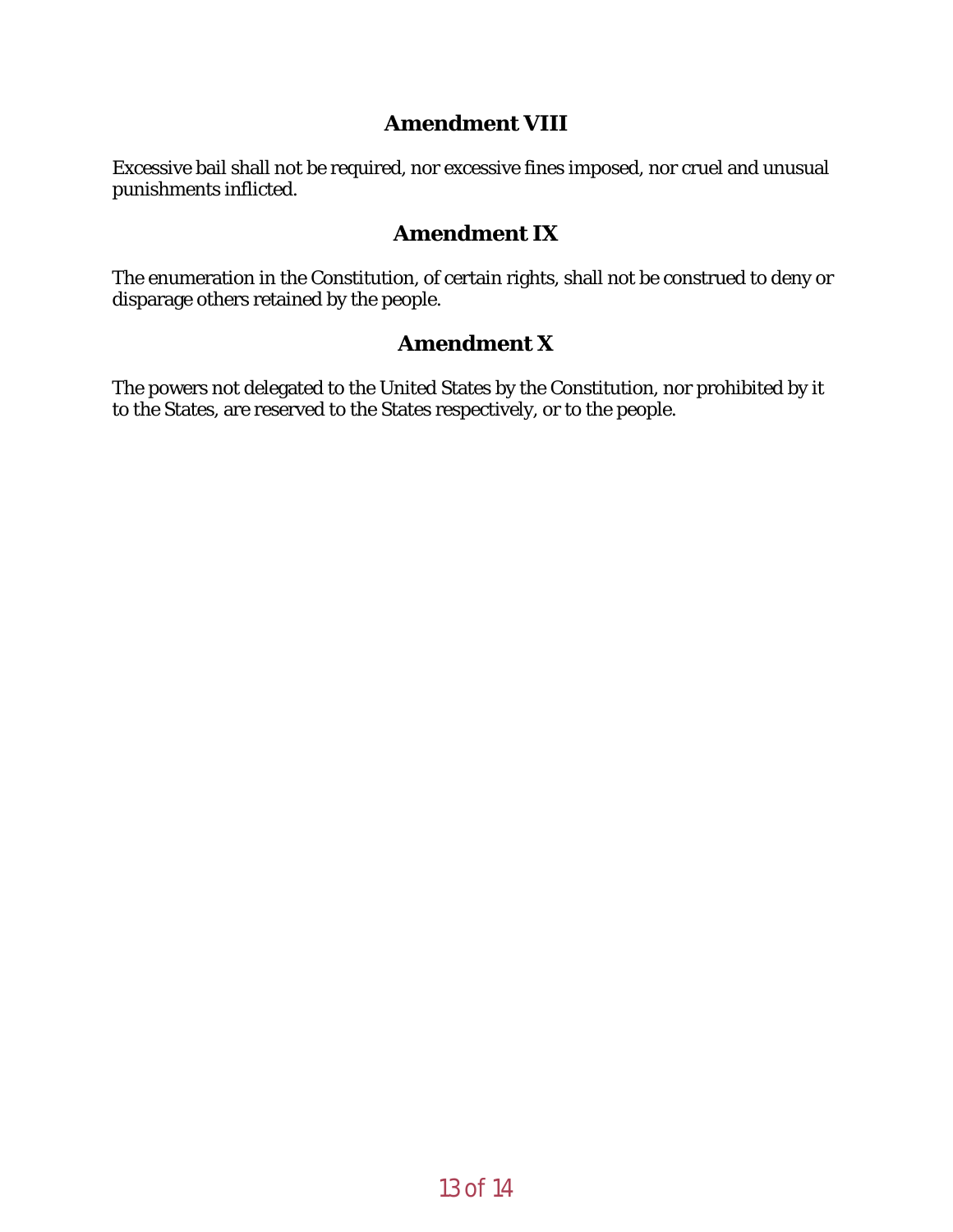### **Amendment VIII**

Excessive bail shall not be required, nor excessive fines imposed, nor cruel and unusual punishments inflicted.

### **Amendment IX**

The enumeration in the Constitution, of certain rights, shall not be construed to deny or disparage others retained by the people.

### **Amendment X**

The powers not delegated to the United States by the Constitution, nor prohibited by it to the States, are reserved to the States respectively, or to the people.